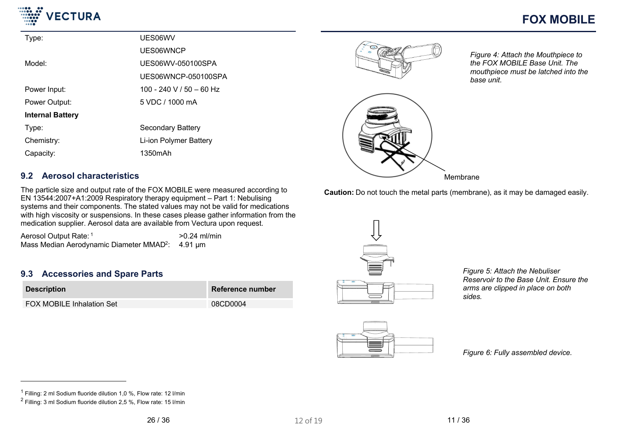

| Type:                   | UES06WV                  |
|-------------------------|--------------------------|
|                         | UES06WNCP                |
| Model:                  | UES06WV-050100SPA        |
|                         | UES06WNCP-050100SPA      |
| Power Input:            | 100 - 240 V / 50 - 60 Hz |
| Power Output:           | 5 VDC / 1000 mA          |
| <b>Internal Battery</b> |                          |
| Type:                   | Secondary Battery        |
| Chemistry:              | Li-ion Polymer Battery   |
| Capacity:               | 1350mAh                  |





*Figure 4: Attach the Mouthpiece to the FOX MOBILE Base Unit. The mouthpiece must be latched into the base unit.*

Membrane

**Caution:** Do not touch the metal parts (membrane), as it may be damaged easily.

### **9.2 Aerosol characteristics**

The particle size and output rate of the FOX MOBILE were measured according to EN 13544:2007+A1:2009 Respiratory therapy equipment – Part 1: Nebulising systems and their components. The stated values may not be valid for medications with high viscosity or suspensions. In these cases please gather information from the medication supplier. Aerosol data are available from Vectura upon request.

Aerosol Output Rate: 1  $>0.24$  ml/min Mass Median Aerodynamic Diameter MMAD<sup>2</sup>: 4.91 µm

### **9.3 Accessories and Spare Parts**

| <b>Description</b>        | Reference number |
|---------------------------|------------------|
| FOX MOBILE Inhalation Set | 08CD0004         |



*Figure 5: Attach the Nebuliser Reservoir to the Base Unit. Ensure the arms are clipped in place on both sides.*



*Figure 6: Fully assembled device.*

 $1$  Filling: 2 ml Sodium fluoride dilution 1,0 %, Flow rate: 12 I/min

 $2$  Filling: 3 ml Sodium fluoride dilution 2,5 %, Flow rate: 15 l/min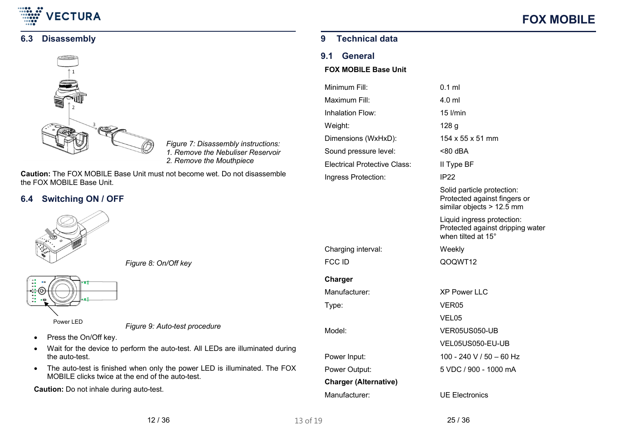

### **6.3 Disassembly**



*Figure 7: Disassembly instructions: 1. Remove the Nebuliser Reservoir 2. Remove the Mouthpiece*

**Caution:** The FOX MOBILE Base Unit must not become wet. Do not disassemble the FOX MOBILE Base Unit.

### **6.4 Switching ON / OFF**



*Figure 8: On/Off key*



*Figure 9: Auto-test procedure*

- Press the On/Off key.
- Wait for the device to perform the auto-test. All LEDs are illuminated during the auto-test.
- The auto-test is finished when only the power LED is illuminated. The FOX MOBILE clicks twice at the end of the auto-test.

**Caution:** Do not inhale during auto-test.

### **9 Technical data**

### **9.1 General**

### **FOX MOBILE Base Unit**

| Minimum Fill:                       | $0.1$ ml                                                                                |
|-------------------------------------|-----------------------------------------------------------------------------------------|
| Maximum Fill:                       | 4.0 ml                                                                                  |
| Inhalation Flow:                    | $15$ I/min                                                                              |
| Weight:                             | 128 <sub>g</sub>                                                                        |
| Dimensions (WxHxD):                 | 154 x 55 x 51 mm                                                                        |
| Sound pressure level:               | $< 80$ dBA                                                                              |
| <b>Electrical Protective Class:</b> | II Type BF                                                                              |
| Ingress Protection:                 | IP22                                                                                    |
|                                     | Solid particle protection:<br>Protected against fingers or<br>similar objects > 12.5 mm |
|                                     | Liquid ingress protection:<br>Protected against dripping water<br>when tilted at 15°    |
|                                     |                                                                                         |
| Charging interval:                  | Weekly                                                                                  |
| <b>FCC ID</b>                       | QOQWT12                                                                                 |
| Charger                             |                                                                                         |
| Manufacturer:                       | <b>XP Power LLC</b>                                                                     |
| Type:                               | VER <sub>05</sub>                                                                       |
|                                     | VEL05                                                                                   |
| Model:                              | VER05US050-UB                                                                           |
|                                     | VEL05US050-EU-UB                                                                        |
| Power Input:                        | 100 - 240 V / 50 - 60 Hz                                                                |
| Power Output:                       | 5 VDC / 900 - 1000 mA                                                                   |
| <b>Charger (Alternative)</b>        |                                                                                         |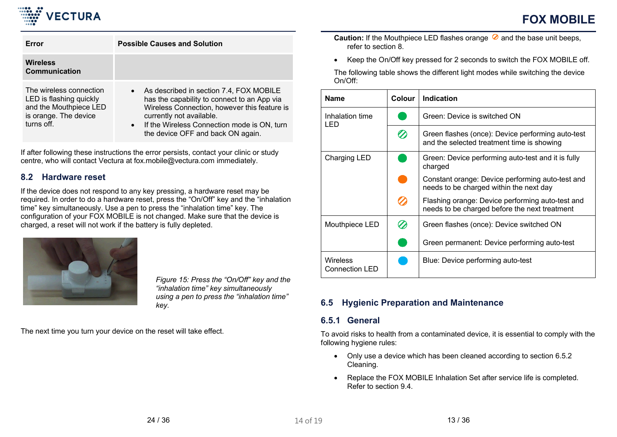

| Error                                                                                                               | <b>Possible Causes and Solution</b>                                                                                                                                                                                                                                              |
|---------------------------------------------------------------------------------------------------------------------|----------------------------------------------------------------------------------------------------------------------------------------------------------------------------------------------------------------------------------------------------------------------------------|
| <b>Wireless</b><br>Communication                                                                                    |                                                                                                                                                                                                                                                                                  |
| The wireless connection<br>LED is flashing quickly<br>and the Mouthpiece LED<br>is orange. The device<br>turns off. | As described in section 7.4, FOX MOBILE<br>$\bullet$<br>has the capability to connect to an App via<br>Wireless Connection, however this feature is<br>currently not available.<br>If the Wireless Connection mode is ON, turn<br>$\bullet$<br>the device OFF and back ON again. |

If after following these instructions the error persists, contact your clinic or study centre, who will contact Vectura at fox.mobile@vectura.com immediately.

### **8.2 Hardware reset**

If the device does not respond to any key pressing, a hardware reset may be required. In order to do a hardware reset, press the "On/Off" key and the "inhalation time" key simultaneously. Use a pen to press the "inhalation time" key. The configuration of your FOX MOBILE is not changed. Make sure that the device is charged, a reset will not work if the battery is fully depleted.



*Figure 15: Press the "On/Off" key and the "inhalation time" key simultaneously using a pen to press the "inhalation time" key.*

<span id="page-12-0"></span>The next time you turn your device on the reset will take effect.

**Caution:** If the Mouthpiece LED flashes orange  $\oslash$  and the base unit beeps, refer to section 8.

Keep the On/Off key pressed for 2 seconds to switch the FOX MOBILE off.

The following table shows the different light modes while switching the device On/Off:

| <b>Name</b>                              | Colour | <b>Indication</b>                                                                                 |
|------------------------------------------|--------|---------------------------------------------------------------------------------------------------|
| Inhalation time<br>LED                   |        | Green: Device is switched ON                                                                      |
|                                          | 2      | Green flashes (once): Device performing auto-test<br>and the selected treatment time is showing   |
| Charging LED                             |        | Green: Device performing auto-test and it is fully<br>charged                                     |
|                                          |        | Constant orange: Device performing auto-test and<br>needs to be charged within the next day       |
|                                          |        | Flashing orange: Device performing auto-test and<br>needs to be charged before the next treatment |
| Mouthpiece LED                           |        | Green flashes (once): Device switched ON                                                          |
|                                          |        | Green permanent: Device performing auto-test                                                      |
| <b>Wireless</b><br><b>Connection LED</b> |        | Blue: Device performing auto-test                                                                 |

## **6.5 Hygienic Preparation and Maintenance**

### **6.5.1 General**

To avoid risks to health from a contaminated device, it is essential to comply with the following hygiene rules:

- Only use a device which has been cleaned according to section 6.5.2 Cleaning.
- Replace the FOX MOBILE Inhalation Set after service life is completed. Refer to section 9.4.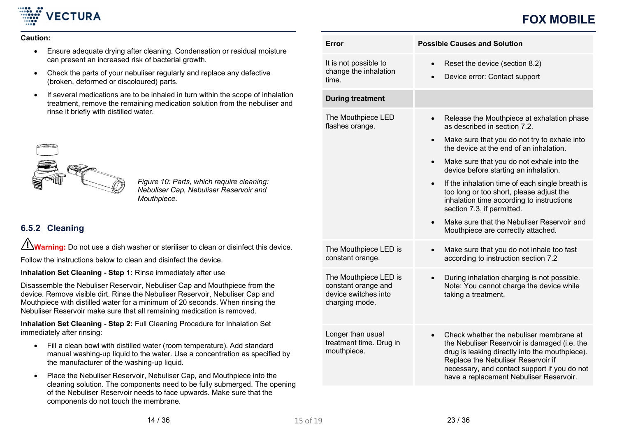

## **FOX MOBILE**

#### **Caution:**

- Ensure adequate drying after cleaning. Condensation or residual moisture can present an increased risk of bacterial growth.
- Check the parts of your nebuliser regularly and replace any defective (broken, deformed or discoloured) parts.
- If several medications are to be inhaled in turn within the scope of inhalation treatment, remove the remaining medication solution from the nebuliser and rinse it briefly with distilled water.



*Figure 10: Parts, which require cleaning: Nebuliser Cap, Nebuliser Reservoir and Mouthpiece.*

## <span id="page-13-0"></span>**6.5.2 Cleaning**

Warning: Do not use a dish washer or steriliser to clean or disinfect this device.

Follow the instructions below to clean and disinfect the device.

**Inhalation Set Cleaning - Step 1:** Rinse immediately after use

Disassemble the Nebuliser Reservoir, Nebuliser Cap and Mouthpiece from the device. Remove visible dirt. Rinse the Nebuliser Reservoir, Nebuliser Cap and Mouthpiece with distilled water for a minimum of 20 seconds. When rinsing the Nebuliser Reservoir make sure that all remaining medication is removed.

**Inhalation Set Cleaning - Step 2:** Full Cleaning Procedure for Inhalation Set immediately after rinsing:

- Fill a clean bowl with distilled water (room temperature). Add standard manual washing-up liquid to the water. Use a concentration as specified by the manufacturer of the washing-up liquid.
- Place the Nebuliser Reservoir, Nebuliser Cap, and Mouthpiece into the cleaning solution. The components need to be fully submerged. The opening of the Nebuliser Reservoir needs to face upwards. Make sure that the components do not touch the membrane.

| Error                                                                                  | <b>Possible Causes and Solution</b>                                                                                                                                                                                                                                                     |
|----------------------------------------------------------------------------------------|-----------------------------------------------------------------------------------------------------------------------------------------------------------------------------------------------------------------------------------------------------------------------------------------|
| It is not possible to<br>change the inhalation<br>time.                                | Reset the device (section 8.2)<br>$\bullet$<br>Device error: Contact support                                                                                                                                                                                                            |
| <b>During treatment</b>                                                                |                                                                                                                                                                                                                                                                                         |
| The Mouthpiece LED<br>flashes orange.                                                  | Release the Mouthpiece at exhalation phase<br>as described in section 7.2.                                                                                                                                                                                                              |
|                                                                                        | Make sure that you do not try to exhale into<br>$\bullet$<br>the device at the end of an inhalation.                                                                                                                                                                                    |
|                                                                                        | Make sure that you do not exhale into the<br>$\bullet$<br>device before starting an inhalation.                                                                                                                                                                                         |
|                                                                                        | If the inhalation time of each single breath is<br>too long or too short, please adjust the<br>inhalation time according to instructions<br>section 7.3, if permitted.                                                                                                                  |
|                                                                                        | Make sure that the Nebuliser Reservoir and<br>$\bullet$<br>Mouthpiece are correctly attached.                                                                                                                                                                                           |
| The Mouthpiece LED is<br>constant orange.                                              | Make sure that you do not inhale too fast<br>according to instruction section 7.2                                                                                                                                                                                                       |
| The Mouthpiece LED is<br>constant orange and<br>device switches into<br>charging mode. | During inhalation charging is not possible.<br>Note: You cannot charge the device while<br>taking a treatment.                                                                                                                                                                          |
| Longer than usual<br>treatment time. Drug in<br>mouthpiece.                            | Check whether the nebuliser membrane at<br>$\bullet$<br>the Nebuliser Reservoir is damaged (i.e. the<br>drug is leaking directly into the mouthpiece).<br>Replace the Nebuliser Reservoir if<br>necessary, and contact support if you do not<br>have a replacement Nebuliser Reservoir. |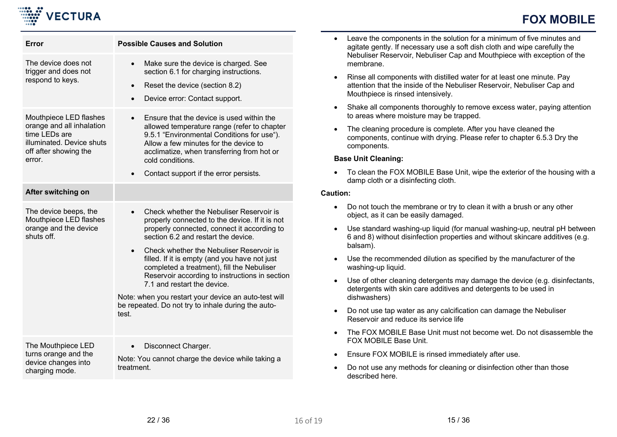

| Error                                                                                                                                | <b>Possible Causes and Solution</b>                                                                                                                                                                                                                                                                                                                                                                                                                                                                                                                           |
|--------------------------------------------------------------------------------------------------------------------------------------|---------------------------------------------------------------------------------------------------------------------------------------------------------------------------------------------------------------------------------------------------------------------------------------------------------------------------------------------------------------------------------------------------------------------------------------------------------------------------------------------------------------------------------------------------------------|
| The device does not<br>trigger and does not<br>respond to keys.                                                                      | Make sure the device is charged. See<br>$\bullet$<br>section 6.1 for charging instructions.<br>Reset the device (section 8.2)<br>$\bullet$<br>Device error: Contact support.<br>$\bullet$                                                                                                                                                                                                                                                                                                                                                                     |
| Mouthpiece LED flashes<br>orange and all inhalation<br>time LEDs are<br>illuminated. Device shuts<br>off after showing the<br>error. | Ensure that the device is used within the<br>$\bullet$<br>allowed temperature range (refer to chapter<br>9.5.1 "Environmental Conditions for use").<br>Allow a few minutes for the device to<br>acclimatize, when transferring from hot or<br>cold conditions.<br>Contact support if the error persists.<br>$\bullet$                                                                                                                                                                                                                                         |
| After switching on                                                                                                                   |                                                                                                                                                                                                                                                                                                                                                                                                                                                                                                                                                               |
| The device beeps, the<br>Mouthpiece LED flashes<br>orange and the device<br>shuts off.                                               | Check whether the Nebuliser Reservoir is<br>$\bullet$<br>properly connected to the device. If it is not<br>properly connected, connect it according to<br>section 6.2 and restart the device.<br>Check whether the Nebuliser Reservoir is<br>$\bullet$<br>filled. If it is empty (and you have not just<br>completed a treatment), fill the Nebuliser<br>Reservoir according to instructions in section<br>7.1 and restart the device.<br>Note: when you restart your device an auto-test will<br>be repeated. Do not try to inhale during the auto-<br>test. |
| The Mouthpiece LED<br>turns orange and the<br>device changes into<br>charging mode.                                                  | Disconnect Charger.<br>$\bullet$<br>Note: You cannot charge the device while taking a<br>treatment.                                                                                                                                                                                                                                                                                                                                                                                                                                                           |

- Leave the components in the solution for a minimum of five minutes and agitate gently. If necessary use a soft dish cloth and wipe carefully the Nebuliser Reservoir, Nebuliser Cap and Mouthpiece with exception of the membrane.
- Rinse all components with distilled water for at least one minute. Pay attention that the inside of the Nebuliser Reservoir, Nebuliser Cap and Mouthpiece is rinsed intensively.
- Shake all components thoroughly to remove excess water, paying attention to areas where moisture may be trapped.
- The cleaning procedure is complete. After you have cleaned the components, continue with drying. Please refer to chapter 6.5.3 Dry the components.

### **Base Unit Cleaning:**

• To clean the FOX MOBILE Base Unit, wipe the exterior of the housing with a damp cloth or a disinfecting cloth.

### **Caution:**

- Do not touch the membrane or try to clean it with a brush or any other object, as it can be easily damaged.
- Use standard washing-up liquid (for manual washing-up, neutral pH between 6 and 8) without disinfection properties and without skincare additives (e.g. balsam).
- Use the recommended dilution as specified by the manufacturer of the washing-up liquid.
- Use of other cleaning detergents may damage the device (e.g. disinfectants, detergents with skin care additives and detergents to be used in dishwashers)
- Do not use tap water as any calcification can damage the Nebuliser Reservoir and reduce its service life
- The FOX MOBILE Base Unit must not become wet. Do not disassemble the FOX MOBILE Base Unit.
- Ensure FOX MOBILE is rinsed immediately after use.
- Do not use any methods for cleaning or disinfection other than those described here.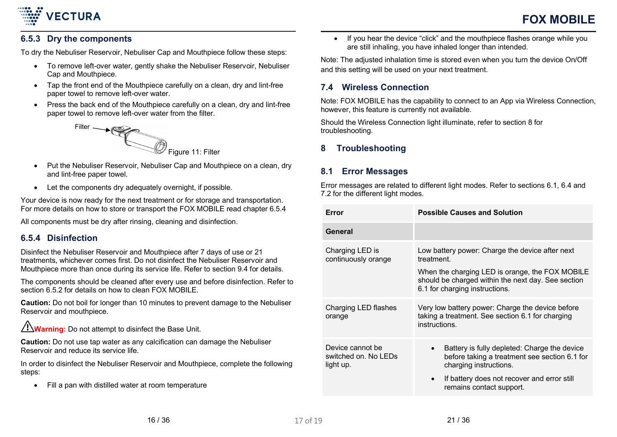# <span id="page-15-0"></span>**6.5.3 Dry the components**

**VECTURA** 

To dry the Nebuliser Reservoir, Nebuliser Cap and Mouthpiece follow these steps:

- To remove left-over water, gently shake the Nebuliser Reservoir, Nebuliser Cap and Mouthpiece.
- Tap the front end of the Mouthpiece carefully on a clean, dry and lint-free paper towel to remove left-over water.
- Press the back end of the Mouthpiece carefully on a clean, dry and lint-free paper towel to remove left-over water from the filter.



- Put the Nebuliser Reservoir, Nebuliser Cap and Mouthpiece on a clean, dry and lint-free paper towel.
- Let the components dry adequately overnight, if possible.

Your device is now ready for the next treatment or for storage and transportation. For more details on how to store or transport the FOX MOBILE read chapter [6.5.4](#page-15-1)

All components must be dry after rinsing, cleaning and disinfection.

## <span id="page-15-1"></span>**6.5.4 Disinfection**

Disinfect the Nebuliser Reservoir and Mouthpiece after 7 days of use or 21 treatments, whichever comes first. Do not disinfect the Nebuliser Reservoir and Mouthpiece more than once during its service life. Refer to section 9.4 for details.

The components should be cleaned after every use and before disinfection. Refer to section [6.5.2](#page-13-0) for details on how to clean FOX MOBILE.

**Caution:** Do not boil for longer than 10 minutes to prevent damage to the Nebuliser Reservoir and mouthpiece.

**Warning:** Do not attempt to disinfect the Base Unit.

**Caution:** Do not use tap water as any calcification can damage the Nebuliser Reservoir and reduce its service life.

In order to disinfect the Nebuliser Reservoir and Mouthpiece, complete the following steps:

• Fill a pan with distilled water at room temperature

• If you hear the device "click" and the mouthpiece flashes orange while you are still inhaling, you have inhaled longer than intended.

Note: The adjusted inhalation time is stored even when you turn the device On/Off and this setting will be used on your next treatment.

### **7.4 Wireless Connection**

Note: FOX MOBILE has the capability to connect to an App via Wireless Connection, however, this feature is currently not available.

Should the Wireless Connection light illuminate, refer to section 8 for troubleshooting.

## **8 Troubleshooting**

## **8.1 Error Messages**

Error messages are related to different light modes. Refer to sections 6.1, 6.4 and 7.2 for the different light modes.

| Error                                                 | <b>Possible Causes and Solution</b>                                                                                                     |
|-------------------------------------------------------|-----------------------------------------------------------------------------------------------------------------------------------------|
| General                                               |                                                                                                                                         |
| Charging LED is<br>continuously orange                | Low battery power: Charge the device after next<br>treatment.                                                                           |
|                                                       | When the charging LED is orange, the FOX MOBILE<br>should be charged within the next day. See section<br>6.1 for charging instructions. |
| Charging LED flashes<br>orange                        | Very low battery power: Charge the device before<br>taking a treatment. See section 6.1 for charging<br>instructions.                   |
| Device cannot be<br>switched on. No LEDs<br>light up. | Battery is fully depleted: Charge the device<br>before taking a treatment see section 6.1 for<br>charging instructions.                 |
|                                                       | If battery does not recover and error still<br>$\bullet$<br>remains contact support.                                                    |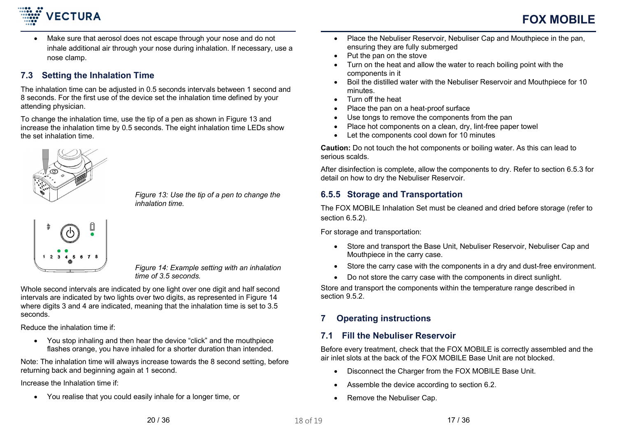

 Make sure that aerosol does not escape through your nose and do not inhale additional air through your nose during inhalation. If necessary, use a nose clamp.

## **7.3 Setting the Inhalation Time**

The inhalation time can be adjusted in 0.5 seconds intervals between 1 second and 8 seconds. For the first use of the device set the inhalation time defined by your attending physician.

To change the inhalation time, use the tip of a pen as shown in Figure 13 and increase the inhalation time by 0.5 seconds. The eight inhalation time LEDs show the set inhalation time.



*Figure 13: Use the tip of a pen to change the inhalation time.*

$$
\begin{array}{c}\n\ast \\
\bullet \\
\bullet \\
\bullet \\
\bullet \\
\bullet\n\end{array}
$$

*Figure 14: Example setting with an inhalation time of 3.5 seconds.*

Whole second intervals are indicated by one light over one digit and half second intervals are indicated by two lights over two digits, as represented in Figure 14 where digits 3 and 4 are indicated, meaning that the inhalation time is set to 3.5 seconds.

Reduce the inhalation time if:

 You stop inhaling and then hear the device "click" and the mouthpiece flashes orange, you have inhaled for a shorter duration than intended.

Note: The inhalation time will always increase towards the 8 second setting, before returning back and beginning again at 1 second.

Increase the Inhalation time if:

You realise that you could easily inhale [for a](#page-9-0) longer time, or

- Place the Nebuliser Reservoir, Nebuliser Cap and Mouthpiece in the pan, ensuring they are fully submerged
- $\bullet$  Put the pan on the stove
- Turn on the heat and allow the water to reach boiling point with the components in it
- Boil the distilled water with the Nebuliser Reservoir and Mouthpiece for 10 minutes.
- Turn off the heat
- Place the pan on a heat-proof surface
- Use tongs to remove the components from the pan
- Place hot components on a clean, dry, lint-free paper towel
- Let the components cool down for 10 minutes

**Caution:** Do not touch the hot components or boiling water. As this can lead to serious scalds.

After disinfection is complete, allow the components to dry. Refer to section 6.5.3 for detail on how to dry the Nebuliser Reservoir.

## **6.5.5 Storage and Transportation**

The FOX MOBILE Inhalation Set must be cleaned and dried before storage (refer to section 6.5.2).

For storage and transportation:

- Store and transport the Base Unit, Nebuliser Reservoir, Nebuliser Cap and Mouthpiece in the carry case.
- Store the carry case with the components in a dry and dust-free environment.
- Do not store the carry case with the components in direct sunlight.

Store and transport the components within the temperature range described in section 9.5.2.

## **7 Operating instructions**

## **7.1 Fill the Nebuliser Reservoir**

Before every treatment, check that the FOX MOBILE is correctly assembled and the air inlet slots at the back of the FOX MOBILE Base Unit are not blocked.

- Disconnect the Charger from the FOX MOBILE Base Unit.
- Assemble the device according to section 6.2.
- Remove the Nebuliser Cap.